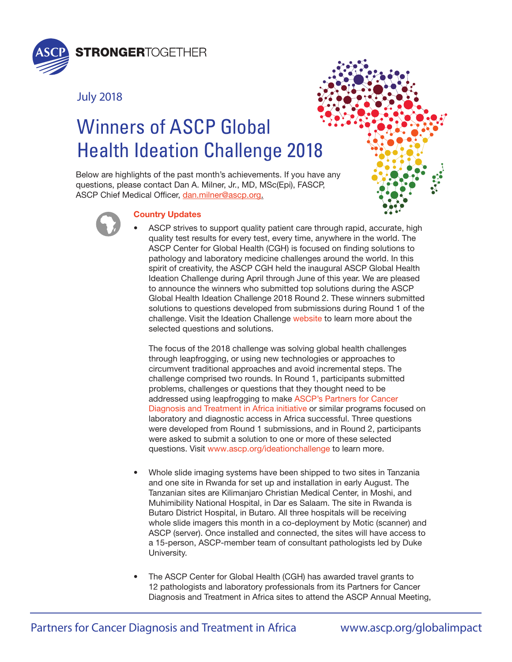

# July 2018





## Country Updates

ASCP Chief Medical Officer, dan.milner@ascp.org.

Winners of ASCP Global

• ASCP strives to support quality patient care through rapid, accurate, high quality test results for every test, every time, anywhere in the world. The ASCP Center for Global Health (CGH) is focused on finding solutions to pathology and laboratory medicine challenges around the world. In this spirit of creativity, the ASCP CGH held the inaugural ASCP Global Health Ideation Challenge during April through June of this year. We are pleased to announce the winners who submitted top solutions during the ASCP Global Health Ideation Challenge 2018 Round 2. These winners submitted solutions to questions developed from submissions during Round 1 of the challenge. Visit the Ideation Challenge [website](https://www.ascp.org/content/get-involved/center-for-global-health/what-we-do/#ideationchallenge) to learn more about the selected questions and solutions.

The focus of the 2018 challenge was solving global health challenges through leapfrogging, or using new technologies or approaches to circumvent traditional approaches and avoid incremental steps. The challenge comprised two rounds. In Round 1, participants submitted problems, challenges or questions that they thought need to be [addressed using leapfrogging to make ASCP's Partners for Cancer](https://www.ascp.org/content/get-involved/partners-in-cancer-diagnosis) Diagnosis and Treatment in Africa initiative or similar programs focused on laboratory and diagnostic access in Africa successful. Three questions were developed from Round 1 submissions, and in Round 2, participants were asked to submit a solution to one or more of these selected questions. Visit [www.ascp.org/ideationchallenge](https://www.ascp.org/content/get-involved/center-for-global-health/what-we-do/#ideationchallenge) to learn more.

- Whole slide imaging systems have been shipped to two sites in Tanzania and one site in Rwanda for set up and installation in early August. The Tanzanian sites are Kilimanjaro Christian Medical Center, in Moshi, and Muhimibility National Hospital, in Dar es Salaam. The site in Rwanda is Butaro District Hospital, in Butaro. All three hospitals will be receiving whole slide imagers this month in a co-deployment by Motic (scanner) and ASCP (server). Once installed and connected, the sites will have access to a 15-person, ASCP-member team of consultant pathologists led by Duke University.
- The ASCP Center for Global Health (CGH) has awarded travel grants to 12 pathologists and laboratory professionals from its Partners for Cancer Diagnosis and Treatment in Africa sites to attend the ASCP Annual Meeting,